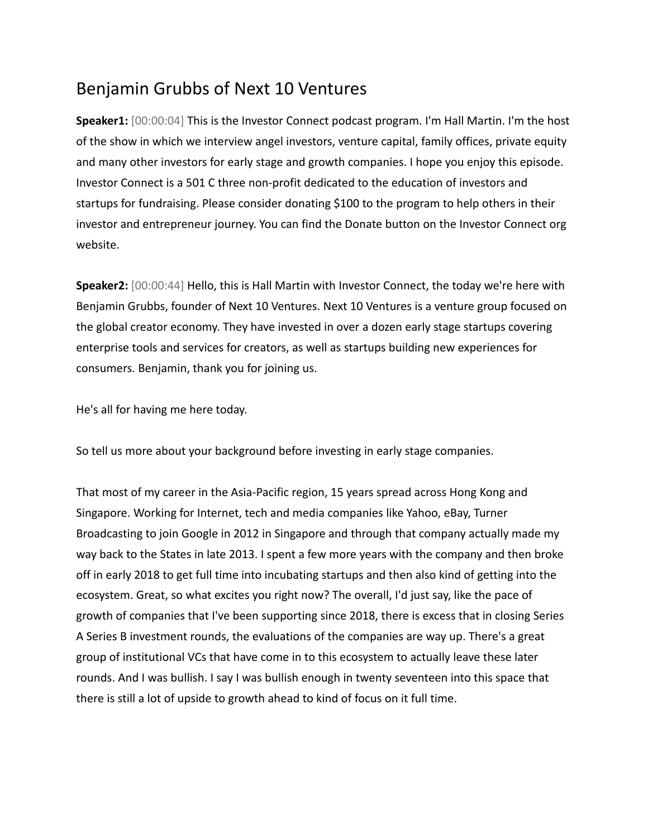## Benjamin Grubbs of Next 10 Ventures

**Speaker1:** [00:00:04] This is the Investor Connect podcast program. I'm Hall Martin. I'm the host of the show in which we interview angel investors, venture capital, family offices, private equity and many other investors for early stage and growth companies. I hope you enjoy this episode. Investor Connect is a 501 C three non-profit dedicated to the education of investors and startups for fundraising. Please consider donating \$100 to the program to help others in their investor and entrepreneur journey. You can find the Donate button on the Investor Connect org website.

**Speaker2:** [00:00:44] Hello, this is Hall Martin with Investor Connect, the today we're here with Benjamin Grubbs, founder of Next 10 Ventures. Next 10 Ventures is a venture group focused on the global creator economy. They have invested in over a dozen early stage startups covering enterprise tools and services for creators, as well as startups building new experiences for consumers. Benjamin, thank you for joining us.

He's all for having me here today.

So tell us more about your background before investing in early stage companies.

That most of my career in the Asia-Pacific region, 15 years spread across Hong Kong and Singapore. Working for Internet, tech and media companies like Yahoo, eBay, Turner Broadcasting to join Google in 2012 in Singapore and through that company actually made my way back to the States in late 2013. I spent a few more years with the company and then broke off in early 2018 to get full time into incubating startups and then also kind of getting into the ecosystem. Great, so what excites you right now? The overall, I'd just say, like the pace of growth of companies that I've been supporting since 2018, there is excess that in closing Series A Series B investment rounds, the evaluations of the companies are way up. There's a great group of institutional VCs that have come in to this ecosystem to actually leave these later rounds. And I was bullish. I say I was bullish enough in twenty seventeen into this space that there is still a lot of upside to growth ahead to kind of focus on it full time.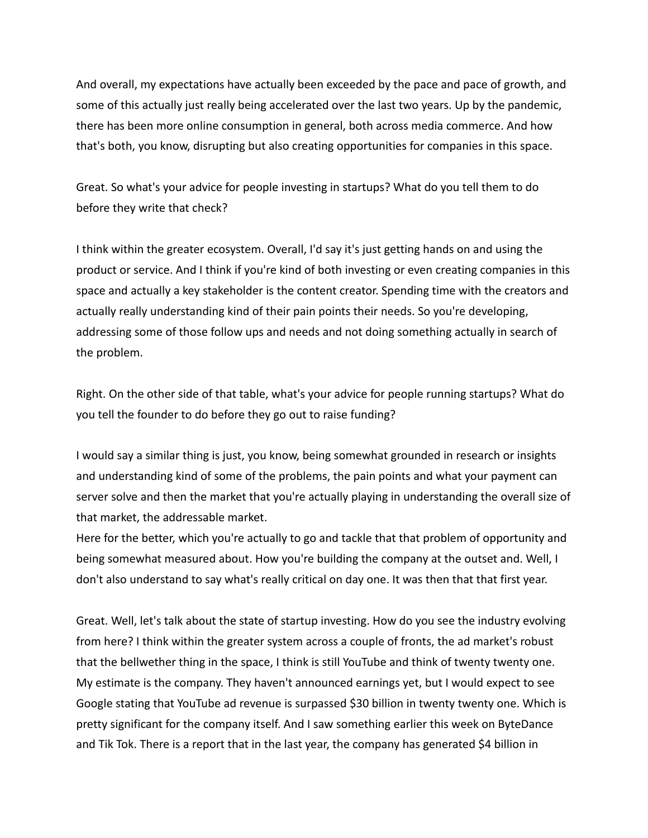And overall, my expectations have actually been exceeded by the pace and pace of growth, and some of this actually just really being accelerated over the last two years. Up by the pandemic, there has been more online consumption in general, both across media commerce. And how that's both, you know, disrupting but also creating opportunities for companies in this space.

Great. So what's your advice for people investing in startups? What do you tell them to do before they write that check?

I think within the greater ecosystem. Overall, I'd say it's just getting hands on and using the product or service. And I think if you're kind of both investing or even creating companies in this space and actually a key stakeholder is the content creator. Spending time with the creators and actually really understanding kind of their pain points their needs. So you're developing, addressing some of those follow ups and needs and not doing something actually in search of the problem.

Right. On the other side of that table, what's your advice for people running startups? What do you tell the founder to do before they go out to raise funding?

I would say a similar thing is just, you know, being somewhat grounded in research or insights and understanding kind of some of the problems, the pain points and what your payment can server solve and then the market that you're actually playing in understanding the overall size of that market, the addressable market.

Here for the better, which you're actually to go and tackle that that problem of opportunity and being somewhat measured about. How you're building the company at the outset and. Well, I don't also understand to say what's really critical on day one. It was then that that first year.

Great. Well, let's talk about the state of startup investing. How do you see the industry evolving from here? I think within the greater system across a couple of fronts, the ad market's robust that the bellwether thing in the space, I think is still YouTube and think of twenty twenty one. My estimate is the company. They haven't announced earnings yet, but I would expect to see Google stating that YouTube ad revenue is surpassed \$30 billion in twenty twenty one. Which is pretty significant for the company itself. And I saw something earlier this week on ByteDance and Tik Tok. There is a report that in the last year, the company has generated \$4 billion in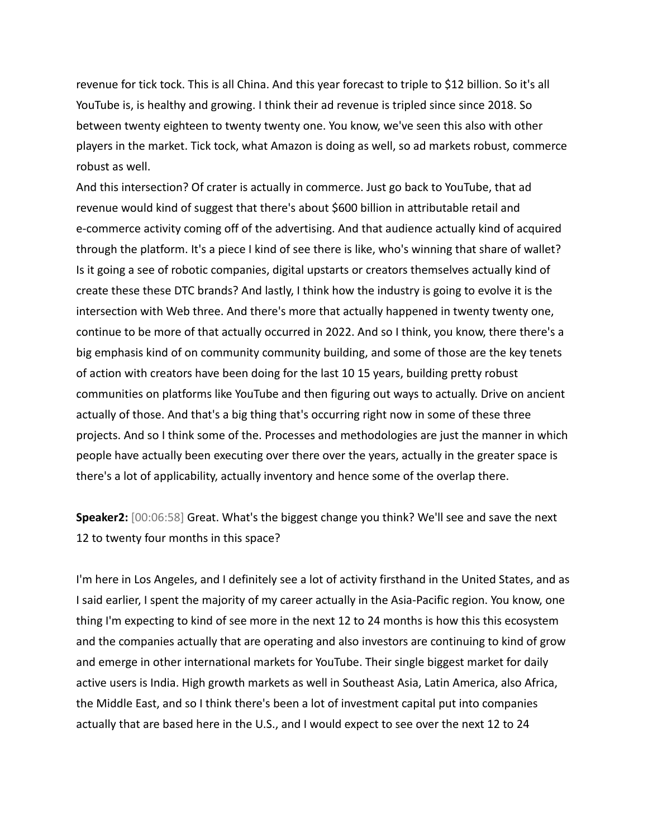revenue for tick tock. This is all China. And this year forecast to triple to \$12 billion. So it's all YouTube is, is healthy and growing. I think their ad revenue is tripled since since 2018. So between twenty eighteen to twenty twenty one. You know, we've seen this also with other players in the market. Tick tock, what Amazon is doing as well, so ad markets robust, commerce robust as well.

And this intersection? Of crater is actually in commerce. Just go back to YouTube, that ad revenue would kind of suggest that there's about \$600 billion in attributable retail and e-commerce activity coming off of the advertising. And that audience actually kind of acquired through the platform. It's a piece I kind of see there is like, who's winning that share of wallet? Is it going a see of robotic companies, digital upstarts or creators themselves actually kind of create these these DTC brands? And lastly, I think how the industry is going to evolve it is the intersection with Web three. And there's more that actually happened in twenty twenty one, continue to be more of that actually occurred in 2022. And so I think, you know, there there's a big emphasis kind of on community community building, and some of those are the key tenets of action with creators have been doing for the last 10 15 years, building pretty robust communities on platforms like YouTube and then figuring out ways to actually. Drive on ancient actually of those. And that's a big thing that's occurring right now in some of these three projects. And so I think some of the. Processes and methodologies are just the manner in which people have actually been executing over there over the years, actually in the greater space is there's a lot of applicability, actually inventory and hence some of the overlap there.

**Speaker2:** [00:06:58] Great. What's the biggest change you think? We'll see and save the next 12 to twenty four months in this space?

I'm here in Los Angeles, and I definitely see a lot of activity firsthand in the United States, and as I said earlier, I spent the majority of my career actually in the Asia-Pacific region. You know, one thing I'm expecting to kind of see more in the next 12 to 24 months is how this this ecosystem and the companies actually that are operating and also investors are continuing to kind of grow and emerge in other international markets for YouTube. Their single biggest market for daily active users is India. High growth markets as well in Southeast Asia, Latin America, also Africa, the Middle East, and so I think there's been a lot of investment capital put into companies actually that are based here in the U.S., and I would expect to see over the next 12 to 24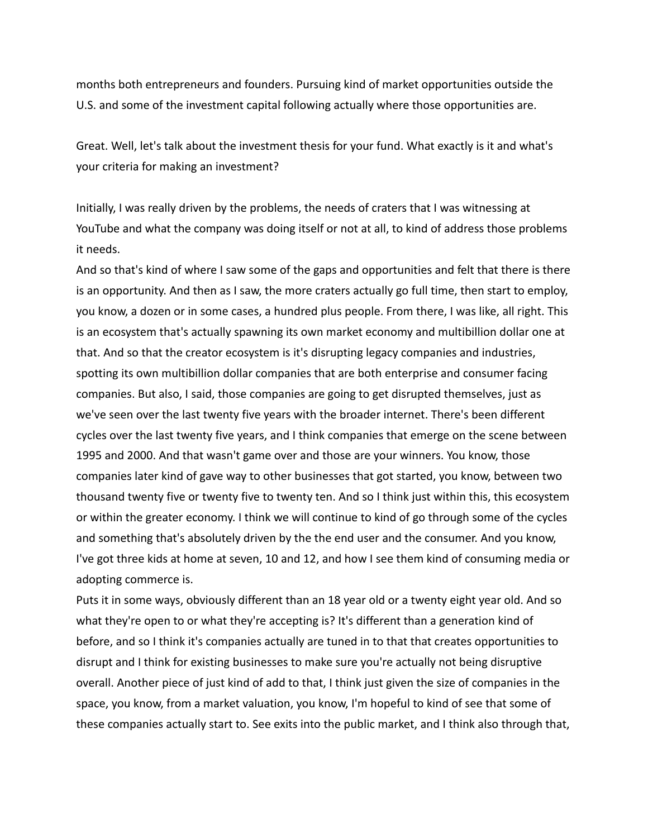months both entrepreneurs and founders. Pursuing kind of market opportunities outside the U.S. and some of the investment capital following actually where those opportunities are.

Great. Well, let's talk about the investment thesis for your fund. What exactly is it and what's your criteria for making an investment?

Initially, I was really driven by the problems, the needs of craters that I was witnessing at YouTube and what the company was doing itself or not at all, to kind of address those problems it needs.

And so that's kind of where I saw some of the gaps and opportunities and felt that there is there is an opportunity. And then as I saw, the more craters actually go full time, then start to employ, you know, a dozen or in some cases, a hundred plus people. From there, I was like, all right. This is an ecosystem that's actually spawning its own market economy and multibillion dollar one at that. And so that the creator ecosystem is it's disrupting legacy companies and industries, spotting its own multibillion dollar companies that are both enterprise and consumer facing companies. But also, I said, those companies are going to get disrupted themselves, just as we've seen over the last twenty five years with the broader internet. There's been different cycles over the last twenty five years, and I think companies that emerge on the scene between 1995 and 2000. And that wasn't game over and those are your winners. You know, those companies later kind of gave way to other businesses that got started, you know, between two thousand twenty five or twenty five to twenty ten. And so I think just within this, this ecosystem or within the greater economy. I think we will continue to kind of go through some of the cycles and something that's absolutely driven by the the end user and the consumer. And you know, I've got three kids at home at seven, 10 and 12, and how I see them kind of consuming media or adopting commerce is.

Puts it in some ways, obviously different than an 18 year old or a twenty eight year old. And so what they're open to or what they're accepting is? It's different than a generation kind of before, and so I think it's companies actually are tuned in to that that creates opportunities to disrupt and I think for existing businesses to make sure you're actually not being disruptive overall. Another piece of just kind of add to that, I think just given the size of companies in the space, you know, from a market valuation, you know, I'm hopeful to kind of see that some of these companies actually start to. See exits into the public market, and I think also through that,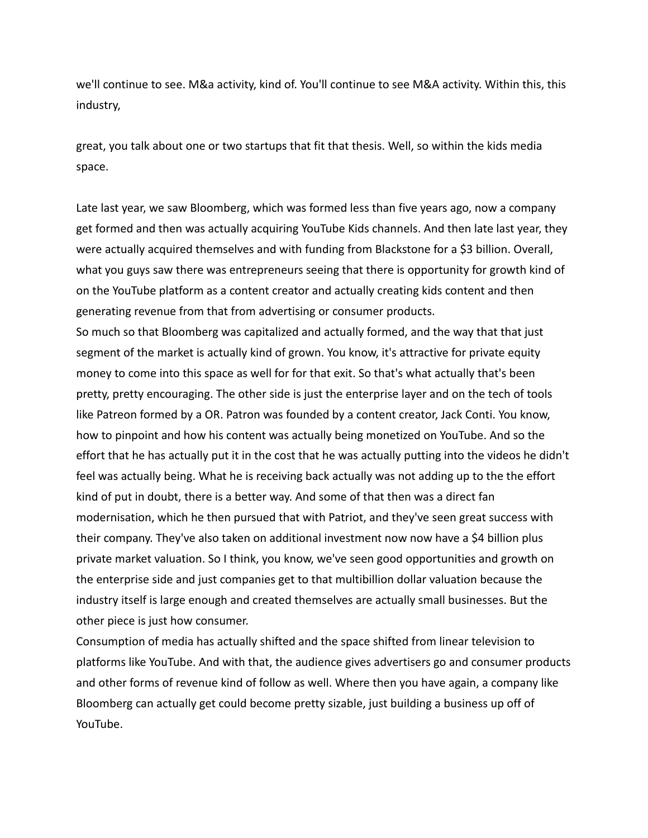we'll continue to see. M&a activity, kind of. You'll continue to see M&A activity. Within this, this industry,

great, you talk about one or two startups that fit that thesis. Well, so within the kids media space.

Late last year, we saw Bloomberg, which was formed less than five years ago, now a company get formed and then was actually acquiring YouTube Kids channels. And then late last year, they were actually acquired themselves and with funding from Blackstone for a \$3 billion. Overall, what you guys saw there was entrepreneurs seeing that there is opportunity for growth kind of on the YouTube platform as a content creator and actually creating kids content and then generating revenue from that from advertising or consumer products.

So much so that Bloomberg was capitalized and actually formed, and the way that that just segment of the market is actually kind of grown. You know, it's attractive for private equity money to come into this space as well for for that exit. So that's what actually that's been pretty, pretty encouraging. The other side is just the enterprise layer and on the tech of tools like Patreon formed by a OR. Patron was founded by a content creator, Jack Conti. You know, how to pinpoint and how his content was actually being monetized on YouTube. And so the effort that he has actually put it in the cost that he was actually putting into the videos he didn't feel was actually being. What he is receiving back actually was not adding up to the the effort kind of put in doubt, there is a better way. And some of that then was a direct fan modernisation, which he then pursued that with Patriot, and they've seen great success with their company. They've also taken on additional investment now now have a \$4 billion plus private market valuation. So I think, you know, we've seen good opportunities and growth on the enterprise side and just companies get to that multibillion dollar valuation because the industry itself is large enough and created themselves are actually small businesses. But the other piece is just how consumer.

Consumption of media has actually shifted and the space shifted from linear television to platforms like YouTube. And with that, the audience gives advertisers go and consumer products and other forms of revenue kind of follow as well. Where then you have again, a company like Bloomberg can actually get could become pretty sizable, just building a business up off of YouTube.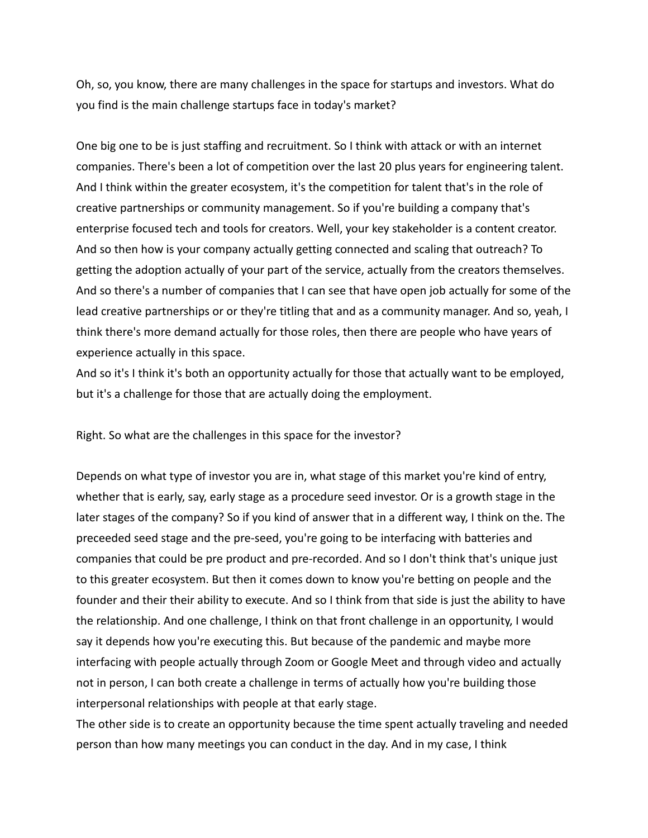Oh, so, you know, there are many challenges in the space for startups and investors. What do you find is the main challenge startups face in today's market?

One big one to be is just staffing and recruitment. So I think with attack or with an internet companies. There's been a lot of competition over the last 20 plus years for engineering talent. And I think within the greater ecosystem, it's the competition for talent that's in the role of creative partnerships or community management. So if you're building a company that's enterprise focused tech and tools for creators. Well, your key stakeholder is a content creator. And so then how is your company actually getting connected and scaling that outreach? To getting the adoption actually of your part of the service, actually from the creators themselves. And so there's a number of companies that I can see that have open job actually for some of the lead creative partnerships or or they're titling that and as a community manager. And so, yeah, I think there's more demand actually for those roles, then there are people who have years of experience actually in this space.

And so it's I think it's both an opportunity actually for those that actually want to be employed, but it's a challenge for those that are actually doing the employment.

Right. So what are the challenges in this space for the investor?

Depends on what type of investor you are in, what stage of this market you're kind of entry, whether that is early, say, early stage as a procedure seed investor. Or is a growth stage in the later stages of the company? So if you kind of answer that in a different way, I think on the. The preceeded seed stage and the pre-seed, you're going to be interfacing with batteries and companies that could be pre product and pre-recorded. And so I don't think that's unique just to this greater ecosystem. But then it comes down to know you're betting on people and the founder and their their ability to execute. And so I think from that side is just the ability to have the relationship. And one challenge, I think on that front challenge in an opportunity, I would say it depends how you're executing this. But because of the pandemic and maybe more interfacing with people actually through Zoom or Google Meet and through video and actually not in person, I can both create a challenge in terms of actually how you're building those interpersonal relationships with people at that early stage.

The other side is to create an opportunity because the time spent actually traveling and needed person than how many meetings you can conduct in the day. And in my case, I think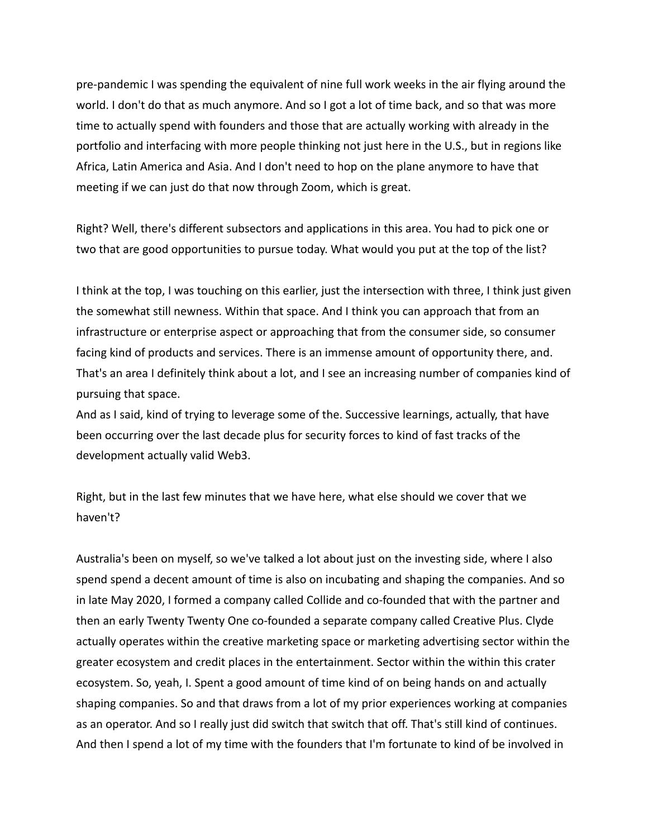pre-pandemic I was spending the equivalent of nine full work weeks in the air flying around the world. I don't do that as much anymore. And so I got a lot of time back, and so that was more time to actually spend with founders and those that are actually working with already in the portfolio and interfacing with more people thinking not just here in the U.S., but in regions like Africa, Latin America and Asia. And I don't need to hop on the plane anymore to have that meeting if we can just do that now through Zoom, which is great.

Right? Well, there's different subsectors and applications in this area. You had to pick one or two that are good opportunities to pursue today. What would you put at the top of the list?

I think at the top, I was touching on this earlier, just the intersection with three, I think just given the somewhat still newness. Within that space. And I think you can approach that from an infrastructure or enterprise aspect or approaching that from the consumer side, so consumer facing kind of products and services. There is an immense amount of opportunity there, and. That's an area I definitely think about a lot, and I see an increasing number of companies kind of pursuing that space.

And as I said, kind of trying to leverage some of the. Successive learnings, actually, that have been occurring over the last decade plus for security forces to kind of fast tracks of the development actually valid Web3.

Right, but in the last few minutes that we have here, what else should we cover that we haven't?

Australia's been on myself, so we've talked a lot about just on the investing side, where I also spend spend a decent amount of time is also on incubating and shaping the companies. And so in late May 2020, I formed a company called Collide and co-founded that with the partner and then an early Twenty Twenty One co-founded a separate company called Creative Plus. Clyde actually operates within the creative marketing space or marketing advertising sector within the greater ecosystem and credit places in the entertainment. Sector within the within this crater ecosystem. So, yeah, I. Spent a good amount of time kind of on being hands on and actually shaping companies. So and that draws from a lot of my prior experiences working at companies as an operator. And so I really just did switch that switch that off. That's still kind of continues. And then I spend a lot of my time with the founders that I'm fortunate to kind of be involved in